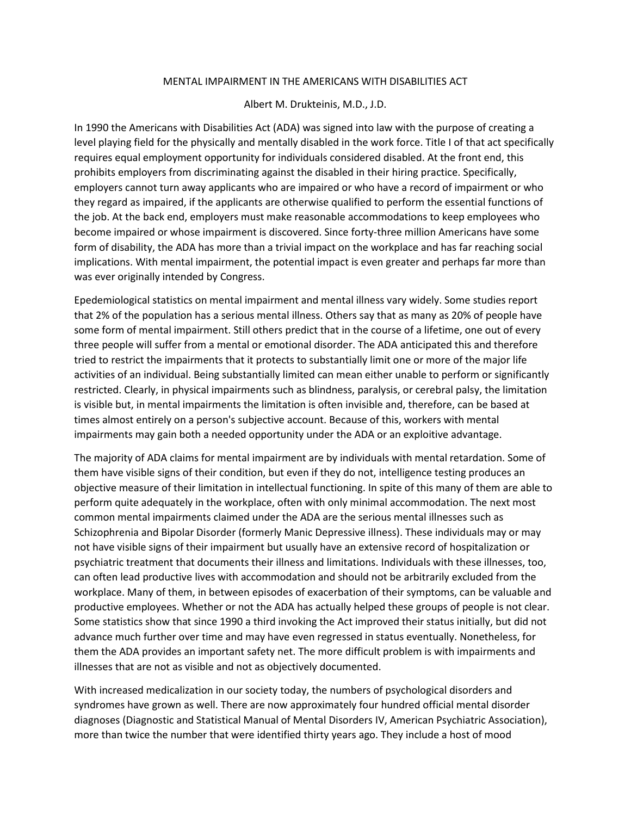## MENTAL IMPAIRMENT IN THE AMERICANS WITH DISABILITIES ACT

## Albert M. Drukteinis, M.D., J.D.

In 1990 the Americans with Disabilities Act (ADA) was signed into law with the purpose of creating a level playing field for the physically and mentally disabled in the work force. Title I of that act specifically requires equal employment opportunity for individuals considered disabled. At the front end, this prohibits employers from discriminating against the disabled in their hiring practice. Specifically, employers cannot turn away applicants who are impaired or who have a record of impairment or who they regard as impaired, if the applicants are otherwise qualified to perform the essential functions of the job. At the back end, employers must make reasonable accommodations to keep employees who become impaired or whose impairment is discovered. Since forty-three million Americans have some form of disability, the ADA has more than a trivial impact on the workplace and has far reaching social implications. With mental impairment, the potential impact is even greater and perhaps far more than was ever originally intended by Congress.

Epedemiological statistics on mental impairment and mental illness vary widely. Some studies report that 2% of the population has a serious mental illness. Others say that as many as 20% of people have some form of mental impairment. Still others predict that in the course of a lifetime, one out of every three people will suffer from a mental or emotional disorder. The ADA anticipated this and therefore tried to restrict the impairments that it protects to substantially limit one or more of the major life activities of an individual. Being substantially limited can mean either unable to perform or significantly restricted. Clearly, in physical impairments such as blindness, paralysis, or cerebral palsy, the limitation is visible but, in mental impairments the limitation is often invisible and, therefore, can be based at times almost entirely on a person's subjective account. Because of this, workers with mental impairments may gain both a needed opportunity under the ADA or an exploitive advantage.

The majority of ADA claims for mental impairment are by individuals with mental retardation. Some of them have visible signs of their condition, but even if they do not, intelligence testing produces an objective measure of their limitation in intellectual functioning. In spite of this many of them are able to perform quite adequately in the workplace, often with only minimal accommodation. The next most common mental impairments claimed under the ADA are the serious mental illnesses such as Schizophrenia and Bipolar Disorder (formerly Manic Depressive illness). These individuals may or may not have visible signs of their impairment but usually have an extensive record of hospitalization or psychiatric treatment that documents their illness and limitations. Individuals with these illnesses, too, can often lead productive lives with accommodation and should not be arbitrarily excluded from the workplace. Many of them, in between episodes of exacerbation of their symptoms, can be valuable and productive employees. Whether or not the ADA has actually helped these groups of people is not clear. Some statistics show that since 1990 a third invoking the Act improved their status initially, but did not advance much further over time and may have even regressed in status eventually. Nonetheless, for them the ADA provides an important safety net. The more difficult problem is with impairments and illnesses that are not as visible and not as objectively documented.

With increased medicalization in our society today, the numbers of psychological disorders and syndromes have grown as well. There are now approximately four hundred official mental disorder diagnoses (Diagnostic and Statistical Manual of Mental Disorders IV, American Psychiatric Association), more than twice the number that were identified thirty years ago. They include a host of mood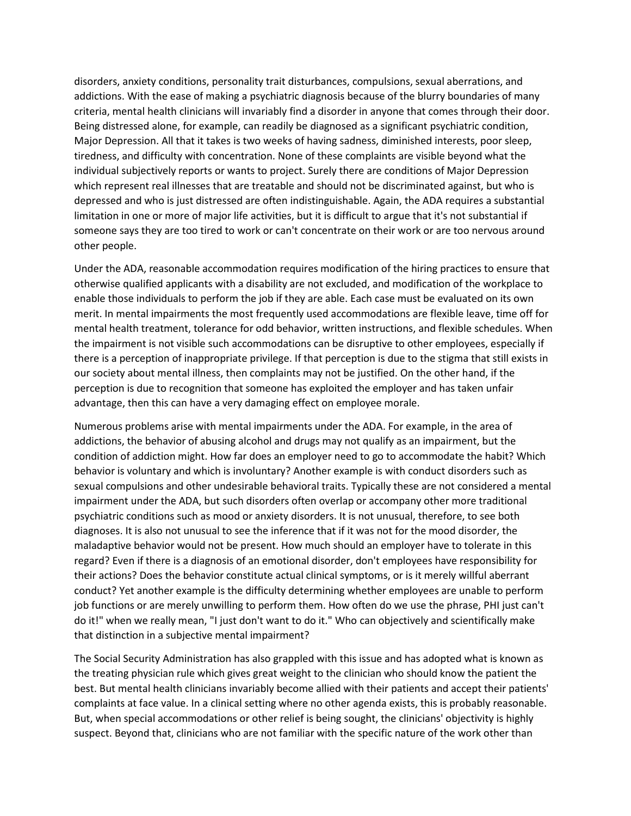disorders, anxiety conditions, personality trait disturbances, compulsions, sexual aberrations, and addictions. With the ease of making a psychiatric diagnosis because of the blurry boundaries of many criteria, mental health clinicians will invariably find a disorder in anyone that comes through their door. Being distressed alone, for example, can readily be diagnosed as a significant psychiatric condition, Major Depression. All that it takes is two weeks of having sadness, diminished interests, poor sleep, tiredness, and difficulty with concentration. None of these complaints are visible beyond what the individual subjectively reports or wants to project. Surely there are conditions of Major Depression which represent real illnesses that are treatable and should not be discriminated against, but who is depressed and who is just distressed are often indistinguishable. Again, the ADA requires a substantial limitation in one or more of major life activities, but it is difficult to argue that it's not substantial if someone says they are too tired to work or can't concentrate on their work or are too nervous around other people.

Under the ADA, reasonable accommodation requires modification of the hiring practices to ensure that otherwise qualified applicants with a disability are not excluded, and modification of the workplace to enable those individuals to perform the job if they are able. Each case must be evaluated on its own merit. In mental impairments the most frequently used accommodations are flexible leave, time off for mental health treatment, tolerance for odd behavior, written instructions, and flexible schedules. When the impairment is not visible such accommodations can be disruptive to other employees, especially if there is a perception of inappropriate privilege. If that perception is due to the stigma that still exists in our society about mental illness, then complaints may not be justified. On the other hand, if the perception is due to recognition that someone has exploited the employer and has taken unfair advantage, then this can have a very damaging effect on employee morale.

Numerous problems arise with mental impairments under the ADA. For example, in the area of addictions, the behavior of abusing alcohol and drugs may not qualify as an impairment, but the condition of addiction might. How far does an employer need to go to accommodate the habit? Which behavior is voluntary and which is involuntary? Another example is with conduct disorders such as sexual compulsions and other undesirable behavioral traits. Typically these are not considered a mental impairment under the ADA, but such disorders often overlap or accompany other more traditional psychiatric conditions such as mood or anxiety disorders. It is not unusual, therefore, to see both diagnoses. It is also not unusual to see the inference that if it was not for the mood disorder, the maladaptive behavior would not be present. How much should an employer have to tolerate in this regard? Even if there is a diagnosis of an emotional disorder, don't employees have responsibility for their actions? Does the behavior constitute actual clinical symptoms, or is it merely willful aberrant conduct? Yet another example is the difficulty determining whether employees are unable to perform job functions or are merely unwilling to perform them. How often do we use the phrase, PHI just can't do it!" when we really mean, "I just don't want to do it." Who can objectively and scientifically make that distinction in a subjective mental impairment?

The Social Security Administration has also grappled with this issue and has adopted what is known as the treating physician rule which gives great weight to the clinician who should know the patient the best. But mental health clinicians invariably become allied with their patients and accept their patients' complaints at face value. In a clinical setting where no other agenda exists, this is probably reasonable. But, when special accommodations or other relief is being sought, the clinicians' objectivity is highly suspect. Beyond that, clinicians who are not familiar with the specific nature of the work other than